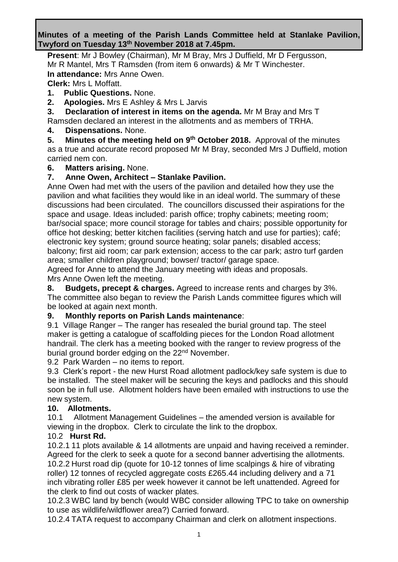### **Minutes of a meeting of the Parish Lands Committee held at Stanlake Pavilion, Twyford on Tuesday 13th November 2018 at 7.45pm.**

**Present**: Mr J Bowley (Chairman), Mr M Bray, Mrs J Duffield, Mr D Fergusson, Mr R Mantel, Mrs T Ramsden (from item 6 onwards) & Mr T Winchester. **In attendance:** Mrs Anne Owen.

**Clerk:** Mrs L Moffatt.

**1. Public Questions.** None.

**2. Apologies.** Mrs E Ashley & Mrs L Jarvis

**3. Declaration of interest in items on the agenda.** Mr M Bray and Mrs T Ramsden declared an interest in the allotments and as members of TRHA.

**4. Dispensations.** None.

**5.** Minutes of the meeting held on 9<sup>th</sup> October 2018. Approval of the minutes as a true and accurate record proposed Mr M Bray, seconded Mrs J Duffield, motion

carried nem con.

#### **6. Matters arising.** None.

### **7. Anne Owen, Architect – Stanlake Pavilion.**

Anne Owen had met with the users of the pavilion and detailed how they use the pavilion and what facilities they would like in an ideal world. The summary of these discussions had been circulated. The councillors discussed their aspirations for the space and usage. Ideas included: parish office; trophy cabinets; meeting room; bar/social space; more council storage for tables and chairs; possible opportunity for office hot desking; better kitchen facilities (serving hatch and use for parties); café; electronic key system; ground source heating; solar panels; disabled access; balcony; first aid room; car park extension; access to the car park; astro turf garden area; smaller children playground; bowser/ tractor/ garage space.

Agreed for Anne to attend the January meeting with ideas and proposals. Mrs Anne Owen left the meeting.

**8. Budgets, precept & charges.** Agreed to increase rents and charges by 3%. The committee also began to review the Parish Lands committee figures which will be looked at again next month.

### **9. Monthly reports on Parish Lands maintenance**:

9.1 Village Ranger – The ranger has resealed the burial ground tap. The steel maker is getting a catalogue of scaffolding pieces for the London Road allotment handrail. The clerk has a meeting booked with the ranger to review progress of the burial ground border edging on the 22<sup>nd</sup> November.

9.2 Park Warden – no items to report.

9.3 Clerk's report - the new Hurst Road allotment padlock/key safe system is due to be installed. The steel maker will be securing the keys and padlocks and this should soon be in full use. Allotment holders have been emailed with instructions to use the new system.

### **10. Allotments.**

10.1 Allotment Management Guidelines – the amended version is available for viewing in the dropbox. Clerk to circulate the link to the dropbox.

### 10.2 **Hurst Rd.**

10.2.1 11 plots available & 14 allotments are unpaid and having received a reminder. Agreed for the clerk to seek a quote for a second banner advertising the allotments. 10.2.2 Hurst road dip (quote for 10-12 tonnes of lime scalpings & hire of vibrating roller) 12 tonnes of recycled aggregate costs £265.44 including delivery and a 71 inch vibrating roller £85 per week however it cannot be left unattended. Agreed for the clerk to find out costs of wacker plates.

10.2.3 WBC land by bench (would WBC consider allowing TPC to take on ownership to use as wildlife/wildflower area?) Carried forward.

10.2.4 TATA request to accompany Chairman and clerk on allotment inspections.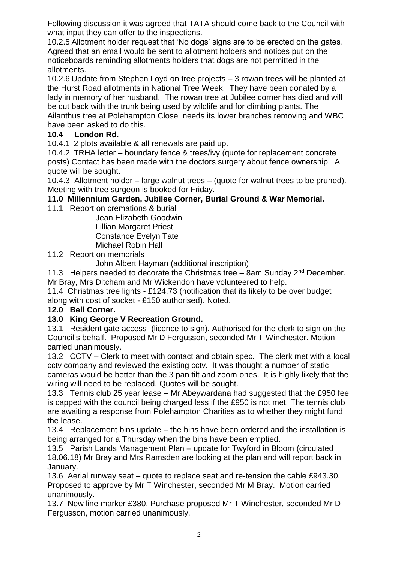Following discussion it was agreed that TATA should come back to the Council with what input they can offer to the inspections.

10.2.5 Allotment holder request that 'No dogs' signs are to be erected on the gates. Agreed that an email would be sent to allotment holders and notices put on the noticeboards reminding allotments holders that dogs are not permitted in the allotments.

10.2.6 Update from Stephen Loyd on tree projects – 3 rowan trees will be planted at the Hurst Road allotments in National Tree Week. They have been donated by a lady in memory of her husband. The rowan tree at Jubilee corner has died and will be cut back with the trunk being used by wildlife and for climbing plants. The Ailanthus tree at Polehampton Close needs its lower branches removing and WBC have been asked to do this.

### **10.4 London Rd.**

10.4.1 2 plots available & all renewals are paid up.

10.4.2 TRHA letter – boundary fence & trees/ivy (quote for replacement concrete posts) Contact has been made with the doctors surgery about fence ownership. A quote will be sought.

10.4.3 Allotment holder – large walnut trees – (quote for walnut trees to be pruned). Meeting with tree surgeon is booked for Friday.

# **11.0 Millennium Garden, Jubilee Corner, Burial Ground & War Memorial.**

11.1 Report on cremations & burial

Jean Elizabeth Goodwin Lillian Margaret Priest Constance Evelyn Tate Michael Robin Hall

11.2 Report on memorials

John Albert Hayman (additional inscription)

11.3 Helpers needed to decorate the Christmas tree  $-$  8am Sunday 2<sup>nd</sup> December. Mr Bray, Mrs Ditcham and Mr Wickendon have volunteered to help.

11.4 Christmas tree lights - £124.73 (notification that its likely to be over budget along with cost of socket - £150 authorised). Noted.

### **12.0 Bell Corner.**

### **13.0 King George V Recreation Ground.**

13.1 Resident gate access (licence to sign). Authorised for the clerk to sign on the Council's behalf. Proposed Mr D Fergusson, seconded Mr T Winchester. Motion carried unanimously.

13.2 CCTV – Clerk to meet with contact and obtain spec. The clerk met with a local cctv company and reviewed the existing cctv. It was thought a number of static cameras would be better than the 3 pan tilt and zoom ones. It is highly likely that the wiring will need to be replaced. Quotes will be sought.

13.3 Tennis club 25 year lease – Mr Abeywardana had suggested that the £950 fee is capped with the council being charged less if the £950 is not met. The tennis club are awaiting a response from Polehampton Charities as to whether they might fund the lease.

13.4 Replacement bins update – the bins have been ordered and the installation is being arranged for a Thursday when the bins have been emptied.

13.5 Parish Lands Management Plan – update for Twyford in Bloom (circulated 18.06.18) Mr Bray and Mrs Ramsden are looking at the plan and will report back in January.

13.6 Aerial runway seat – quote to replace seat and re-tension the cable £943.30. Proposed to approve by Mr T Winchester, seconded Mr M Bray. Motion carried unanimously.

13.7 New line marker £380. Purchase proposed Mr T Winchester, seconded Mr D Fergusson, motion carried unanimously.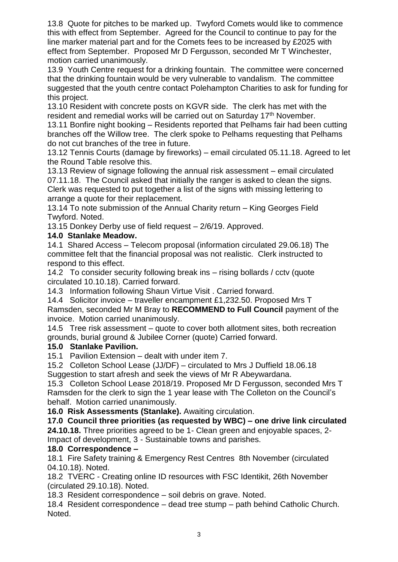13.8 Quote for pitches to be marked up. Twyford Comets would like to commence this with effect from September. Agreed for the Council to continue to pay for the line marker material part and for the Comets fees to be increased by £2025 with effect from September. Proposed Mr D Fergusson, seconded Mr T Winchester, motion carried unanimously.

13.9 Youth Centre request for a drinking fountain. The committee were concerned that the drinking fountain would be very vulnerable to vandalism. The committee suggested that the youth centre contact Polehampton Charities to ask for funding for this project.

13.10 Resident with concrete posts on KGVR side. The clerk has met with the resident and remedial works will be carried out on Saturday 17<sup>th</sup> November.

13.11 Bonfire night booking – Residents reported that Pelhams fair had been cutting branches off the Willow tree. The clerk spoke to Pelhams requesting that Pelhams do not cut branches of the tree in future.

13.12 Tennis Courts (damage by fireworks) – email circulated 05.11.18. Agreed to let the Round Table resolve this.

13.13 Review of signage following the annual risk assessment – email circulated 07.11.18. The Council asked that initially the ranger is asked to clean the signs. Clerk was requested to put together a list of the signs with missing lettering to arrange a quote for their replacement.

13.14 To note submission of the Annual Charity return – King Georges Field Twyford. Noted.

13.15 Donkey Derby use of field request – 2/6/19. Approved.

### **14.0 Stanlake Meadow.**

14.1 Shared Access – Telecom proposal (information circulated 29.06.18) The committee felt that the financial proposal was not realistic. Clerk instructed to respond to this effect.

14.2 To consider security following break ins – rising bollards / cctv (quote circulated 10.10.18). Carried forward.

14.3 Information following Shaun Virtue Visit . Carried forward.

14.4 Solicitor invoice – traveller encampment £1,232.50. Proposed Mrs T Ramsden, seconded Mr M Bray to **RECOMMEND to Full Council** payment of the invoice. Motion carried unanimously.

14.5 Tree risk assessment – quote to cover both allotment sites, both recreation grounds, burial ground & Jubilee Corner (quote) Carried forward.

# **15.0 Stanlake Pavilion.**

15.1 Pavilion Extension – dealt with under item 7.

15.2 Colleton School Lease (JJ/DF) – circulated to Mrs J Duffield 18.06.18 Suggestion to start afresh and seek the views of Mr R Abeywardana.

15.3 Colleton School Lease 2018/19. Proposed Mr D Fergusson, seconded Mrs T Ramsden for the clerk to sign the 1 year lease with The Colleton on the Council's behalf. Motion carried unanimously.

**16.0 Risk Assessments (Stanlake).** Awaiting circulation.

**17.0 Council three priorities (as requested by WBC) – one drive link circulated 24.10.18.** Three priorities agreed to be 1- Clean green and enjoyable spaces, 2-

Impact of development, 3 - Sustainable towns and parishes.

# **18.0 Correspondence –**

18.1 Fire Safety training & Emergency Rest Centres 8th November (circulated 04.10.18). Noted.

18.2 TVERC - Creating online ID resources with FSC Identikit, 26th November (circulated 29.10.18). Noted.

18.3 Resident correspondence – soil debris on grave. Noted.

18.4 Resident correspondence – dead tree stump – path behind Catholic Church. Noted.